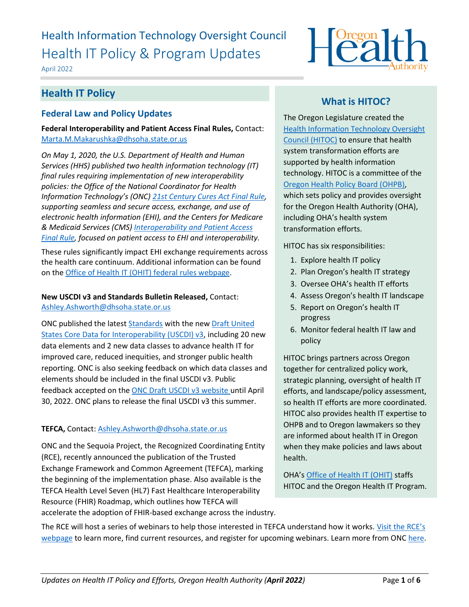# Health Information Technology Oversight Council Health IT Policy & Program Updates

April 2022



# **Health IT Policy**

# **Federal Law and Policy Updates**

**Federal Interoperability and Patient Access Final Rules,** Contact: [Marta.M.Makarushka@dhsoha.state.or.us](mailto:Marta.M.Makarushka@dhsoha.state.or.us)

*On May 1, 2020, the U.S. Department of Health and Human Services (HHS) published two health information technology (IT) final rules requiring implementation of new interoperability policies: the Office of the National Coordinator for Health Information Technology's (ONC) [21st Century Cures Act Final Rule,](https://www.healthit.gov/curesrule/) supporting seamless and secure access, exchange, and use of electronic health information (EHI), and the Centers for Medicare & Medicaid Services (CMS) [Interoperability and Patient Access](https://www.govinfo.gov/content/pkg/FR-2020-05-01/pdf/2020-05050.pdf)  [Final Rule,](https://www.govinfo.gov/content/pkg/FR-2020-05-01/pdf/2020-05050.pdf) focused on patient access to EHI and interoperability.*

These rules significantly impact EHI exchange requirements across the health care continuum. Additional information can be found on th[e Office of Health IT \(OHIT\) federal](https://www.oregon.gov/oha/HPA/OHIT-HITOC/Pages/Federal-Rules.aspx) rules webpage.

### **New USCDI v3 and Standards Bulletin Released,** Contact: [Ashley.Ashworth@dhsoha.state.or.us](mailto:Ashley.Ashworth@dhsoha.state.or.us)

ONC published the latest **Standards** with the new **Draft United** [States Core Data for Interoperability \(USCDI\) v3,](https://www.healthit.gov/isa/united-states-core-data-interoperability-uscdi#draft-uscdi-v3) including 20 new data elements and 2 new data classes to advance health IT for improved care, reduced inequities, and stronger public health reporting. ONC is also seeking feedback on which data classes and elements should be included in the final USCDI v3. Public feedback accepted on the [ONC Draft USCDI v3 website](https://www.healthit.gov/isa/united-states-core-data-interoperability-uscdi#draft-uscdi-v3) until April 30, 2022. ONC plans to release the final USCDI v3 this summer.

### **TEFCA,** Contact: [Ashley.Ashworth@dhsoha.state.or.us](mailto:Ashley.Ashworth@dhsoha.state.or.us)

ONC and the Sequoia Project, the Recognized Coordinating Entity (RCE), recently announced the publication of the Trusted Exchange Framework and Common Agreement (TEFCA), marking the beginning of the implementation phase. Also available is the TEFCA Health Level Seven (HL7) Fast Healthcare Interoperability Resource (FHIR) Roadmap, which outlines how TEFCA will accelerate the adoption of FHIR-based exchange across the industry.

# **What is HITOC?**

The Oregon Legislature created the [Health Information Technology Oversight](http://www.oregon.gov/oha/ohpr/hitoc/Pages/index.aspx)  [Council \(HITOC\)](http://www.oregon.gov/oha/ohpr/hitoc/Pages/index.aspx) to ensure that health system transformation efforts are supported by health information technology. HITOC is a committee of the [Oregon Health Policy Board \(OHPB\),](https://www.oregon.gov/OHA/OHPB/Pages/index.aspx) which sets policy and provides oversight for the Oregon Health Authority (OHA), including OHA's health system transformation efforts.

HITOC has six responsibilities:

- 1. Explore health IT policy
- 2. Plan Oregon's health IT strategy
- 3. Oversee OHA's health IT efforts
- 4. Assess Oregon's health IT landscape
- 5. Report on Oregon's health IT progress
- 6. Monitor federal health IT law and policy

HITOC brings partners across Oregon together for centralized policy work, strategic planning, oversight of health IT efforts, and landscape/policy assessment, so health IT efforts are more coordinated. HITOC also provides health IT expertise to OHPB and to Oregon lawmakers so they are informed about health IT in Oregon when they make policies and laws about health.

OHA's [Office of Health IT](https://www.oregon.gov/oha/HPA/OHIT/Pages/About.aspx) (OHIT) staffs HITOC and the Oregon Health IT Program.

The RCE will host a series of webinars to help those interested in TEFCA understand how it works. [Visit the RCE's](https://gcc02.safelinks.protection.outlook.com/?url=https%3A%2F%2Fclick.connect.hhs.gov%2F%3Fqs%3Dfe879dbcec41532117a6c65fb715691b01ca9a4279de54fd48773df73985baf3818dc30ede14f24f86d2c757abf38e40e12005dea622d493&data=04%7C01%7CLISA.A.PARKER%40dhsoha.state.or.us%7Ce13793c2639c4d2295f608d9e5accef5%7C658e63e88d39499c8f4813adc9452f4c%7C0%7C0%7C637793352653623358%7CUnknown%7CTWFpbGZsb3d8eyJWIjoiMC4wLjAwMDAiLCJQIjoiV2luMzIiLCJBTiI6Ik1haWwiLCJXVCI6Mn0%3D%7C3000&sdata=0mY0O56hXoD91TN83JdlxqIvC7ujnq%2Fyo8gtqKuTOQw%3D&reserved=0)  [webpage](https://gcc02.safelinks.protection.outlook.com/?url=https%3A%2F%2Fclick.connect.hhs.gov%2F%3Fqs%3Dfe879dbcec41532117a6c65fb715691b01ca9a4279de54fd48773df73985baf3818dc30ede14f24f86d2c757abf38e40e12005dea622d493&data=04%7C01%7CLISA.A.PARKER%40dhsoha.state.or.us%7Ce13793c2639c4d2295f608d9e5accef5%7C658e63e88d39499c8f4813adc9452f4c%7C0%7C0%7C637793352653623358%7CUnknown%7CTWFpbGZsb3d8eyJWIjoiMC4wLjAwMDAiLCJQIjoiV2luMzIiLCJBTiI6Ik1haWwiLCJXVCI6Mn0%3D%7C3000&sdata=0mY0O56hXoD91TN83JdlxqIvC7ujnq%2Fyo8gtqKuTOQw%3D&reserved=0) to learn more, find current resources, and register for upcoming webinars. Learn more from ONC [here.](https://gcc02.safelinks.protection.outlook.com/?url=https%3A%2F%2Fclick.connect.hhs.gov%2F%3Fqs%3Dfe879dbcec415321f4186522765500f9e4840fe64b96ef46a087c8335223780384f1293dde2e4179298e4c392c05de097d4b31cba72d1d91&data=04%7C01%7CLISA.A.PARKER%40dhsoha.state.or.us%7Ce13793c2639c4d2295f608d9e5accef5%7C658e63e88d39499c8f4813adc9452f4c%7C0%7C0%7C637793352653623358%7CUnknown%7CTWFpbGZsb3d8eyJWIjoiMC4wLjAwMDAiLCJQIjoiV2luMzIiLCJBTiI6Ik1haWwiLCJXVCI6Mn0%3D%7C3000&sdata=%2F3dMkjnsmwfJqWp%2BD%2F9UQVyu3cLL6P90a%2F%2BEXva8CWQ%3D&reserved=0)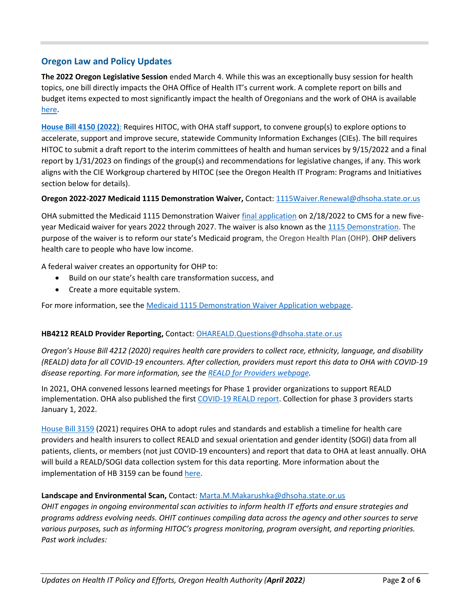# **Oregon Law and Policy Updates**

**The 2022 Oregon Legislative Session** ended March 4. While this was an exceptionally busy session for health topics, one bill directly impacts the OHA Office of Health IT's current work. A complete report on bills and budget items expected to most significantly impact the health of Oregonians and the work of OHA is available [here.](https://gcc02.safelinks.protection.outlook.com/?url=https%3A%2F%2Flnks.gd%2Fl%2FeyJhbGciOiJIUzI1NiJ9.eyJidWxsZXRpbl9saW5rX2lkIjoxMDMsInVyaSI6ImJwMjpjbGljayIsImJ1bGxldGluX2lkIjoiMjAyMjAzMTUuNTQ5NTY5MDEiLCJ1cmwiOiJodHRwczovL3d3dy5vcmVnb24uZ292L29oYS9FUkQvU2l0ZUFzc2V0cy9QYWdlcy9Hb3Zlcm5tZW50LVJlbGF0aW9ucy9PSEElMjBFbmQlMjBvZiUyMExlZ2lzbGF0aXZlJTIwU2Vzc2lvbiUyMFJlcG9ydCUyMDIwMjIucGRmIn0.rOdj-yBooYSrFd1fQ_415a31LYxRAM6OzenShjUTQnY%2Fs%2F661361657%2Fbr%2F128148890576-l&data=04%7C01%7Cluke.a.glowasky%40dhsoha.state.or.us%7Ce41e03c593984388b3c208da06b7cc09%7C658e63e88d39499c8f4813adc9452f4c%7C0%7C0%7C637829683859084192%7CUnknown%7CTWFpbGZsb3d8eyJWIjoiMC4wLjAwMDAiLCJQIjoiV2luMzIiLCJBTiI6Ik1haWwiLCJXVCI6Mn0%3D%7C3000&sdata=84iCnHurxb%2BfRkIv5JkuC7m8NSEtqp7d2HmUsCs%2FOOQ%3D&reserved=0)

**House Bill 4150 [\(2022\)](https://olis.oregonlegislature.gov/liz/2022R1/Downloads/MeasureDocument/HB4150/Enrolled)**: Requires HITOC, with OHA staff support, to convene group(s) to explore options to accelerate, support and improve secure, statewide Community Information Exchanges (CIEs). The bill requires HITOC to submit a draft report to the interim committees of health and human services by 9/15/2022 and a final report by 1/31/2023 on findings of the group(s) and recommendations for legislative changes, if any. This work aligns with the CIE Workgroup chartered by HITOC (see the Oregon Health IT Program: Programs and Initiatives section below for details).

#### **Oregon 2022-2027 Medicaid 1115 Demonstration Waiver,** Contact: [1115Waiver.Renewal@dhsoha.state.or.us](mailto:1115Waiver.Renewal@dhsoha.state.or.us)

OHA submitted the Medicaid 1115 Demonstration Waiver [final application](https://www.oregon.gov/oha/HSD/Medicaid-Policy/Documents/2022-2027-Waiver-Application-Final.pdf) on 2/18/2022 to CMS for a new five-year Medicaid waiver for years 2022 through 2027. The waiver is also known as the [1115 Demonstration.](https://www.medicaid.gov/medicaid/section-1115-demonstrations/index.html) The purpose of the waiver is to reform our state's Medicaid program, the Oregon Health Plan (OHP). OHP delivers health care to people who have low income.

A federal waiver creates an opportunity for OHP to:

- Build on our state's health care transformation success, and
- Create a more equitable system.

For more information, see the [Medicaid 1115 Demonstration Waiver Application webpage.](https://www.oregon.gov/oha/HSD/Medicaid-Policy/Pages/Waiver-Renewal.aspx#:~:text=Oregon%27s%202022%2D2027%20waiver%20will,Maximizing%20health%20care%20coverage.)

#### **HB4212 REALD Provider Reporting,** Contact: [OHAREALD.Questions@dhsoha.state.or.us](mailto:OHAREALD.Questions@dhsoha.state.or.us)

*Oregon's House Bill 4212 (2020) requires health care providers to collect race, ethnicity, language, and disability (REALD) data for all COVID-19 encounters. After collection, providers must report this data to OHA with COVID-19 disease reporting. For more information, see th[e REALD for Providers webpage.](https://www.oregon.gov/oha/OEI/Pages/REALD-Providers.aspx)*

In 2021, OHA convened lessons learned meetings for Phase 1 provider organizations to support REALD implementation. OHA also published the first [COVID-19 REALD report.](https://sharedsystems.dhsoha.state.or.us/DHSForms/Served/le1128136.pdf) Collection for phase 3 providers starts January 1, 2022.

[House Bill 3159](https://olis.oregonlegislature.gov/liz/2021R1/Measures/Overview/HB3159) (2021) requires OHA to adopt rules and standards and establish a timeline for health care providers and health insurers to collect REALD and sexual orientation and gender identity (SOGI) data from all patients, clients, or members (not just COVID-19 encounters) and report that data to OHA at least annually. OHA will build a REALD/SOGI data collection system for this data reporting. More information about the implementation of HB 3159 can be found [here.](https://www.oregon.gov/oha/OEI/Pages/Demographics.aspx)

#### **Landscape and Environmental Scan,** Contact[: Marta.M.Makarushka@dhsoha.state.or.us](mailto:Marta.M.Makarushka@dhsoha.state.or.us)

*OHIT engages in ongoing environmental scan activities to inform health IT efforts and ensure strategies and programs address evolving needs. OHIT continues compiling data across the agency and other sources to serve various purposes, such as informing HITOC's progress monitoring, program oversight, and reporting priorities. Past work includes:*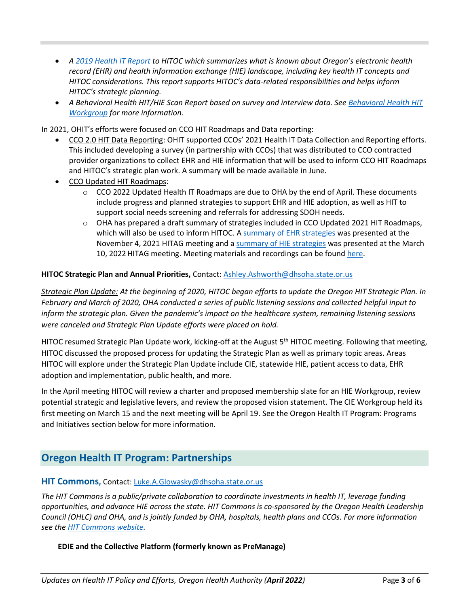- *A [2019 Health IT Report](https://www.oregon.gov/oha/HPA/OHIT/Documents/2019HITReport_HIEOverview_TwoWorlds_Combined.pdf) to HITOC which summarizes what is known about Oregon's electronic health record (EHR) and health information exchange (HIE) landscape, including key health IT concepts and HITOC considerations. This report supports HITOC's data-related responsibilities and helps inform HITOC's strategic planning.*
- *A Behavioral Health HIT/HIE Scan Report based on survey and interview data. See [Behavioral Health HIT](https://www.oregon.gov/oha/HPA/OHIT-HITOC/Pages/Behavioral-Health-HIT.aspx) [Workgroup](https://www.oregon.gov/oha/HPA/OHIT-HITOC/Pages/Behavioral-Health-HIT.aspx) for more information.*

In 2021, OHIT's efforts were focused on CCO HIT Roadmaps and Data reporting:

- CCO 2.0 HIT Data Reporting: OHIT supported CCOs' 2021 Health IT Data Collection and Reporting efforts. This included developing a survey (in partnership with CCOs) that was distributed to CCO contracted provider organizations to collect EHR and HIE information that will be used to inform CCO HIT Roadmaps and HITOC's strategic plan work. A summary will be made available in June.
- CCO Updated HIT Roadmaps:
	- $\circ$  CCO 2022 Updated Health IT Roadmaps are due to OHA by the end of April. These documents include progress and planned strategies to support EHR and HIE adoption, as well as HIT to support social needs screening and referrals for addressing SDOH needs.
	- $\circ$  OHA has prepared a draft summary of strategies included in CCO Updated 2021 HIT Roadmaps, which will also be used to inform HITOC. [A summary of EHR strategies](https://www.oregon.gov/oha/HPA/OHIT/Meeting%20Documents/DraftCCOHITRoadmapSummary_SupportingEHRAdoptionHandout.pdf) was presented at the November 4, 2021 HITAG meeting and [a summary of HIE strategies](https://www.oregon.gov/oha/HPA/OHIT/Meeting%20Documents/20220310_HITAG_Draft%20HIT%20Roadmap%20Summary%20-%20Supporting%20HIE%20for%20CC%20and%20HEN.pdf) was presented at the March 10, 2022 HITAG meeting. Meeting materials and recordings can be found [here.](https://www.oregon.gov/oha/HPA/OHIT/Pages/HITAG.aspx)

#### **HITOC Strategic Plan and Annual Priorities,** Contact: [Ashley.Ashworth@dhsoha.state.or.us](mailto:Ashley.Ashworth@dhsoha.state.or.us)

*Strategic Plan Update: At the beginning of 2020, HITOC began efforts to update the Oregon HIT Strategic Plan. In February and March of 2020, OHA conducted a series of public listening sessions and collected helpful input to inform the strategic plan. Given the pandemic's impact on the healthcare system, remaining listening sessions were canceled and Strategic Plan Update efforts were placed on hold.* 

HITOC resumed Strategic Plan Update work, kicking-off at the August 5<sup>th</sup> HITOC meeting. Following that meeting, HITOC discussed the proposed process for updating the Strategic Plan as well as primary topic areas. Areas HITOC will explore under the Strategic Plan Update include CIE, statewide HIE, patient access to data, EHR adoption and implementation, public health, and more.

In the April meeting HITOC will review a charter and proposed membership slate for an HIE Workgroup, review potential strategic and legislative levers, and review the proposed vision statement. The CIE Workgroup held its first meeting on March 15 and the next meeting will be April 19. See the Oregon Health IT Program: Programs and Initiatives section below for more information.

# **Oregon Health IT Program: Partnerships**

#### **HIT Commons,** Contact: [Luke.A.Glowasky@dhsoha.state.or.us](mailto:Luke.A.Glowasky@dhsoha.state.or.us)

*The HIT Commons is a public/private collaboration to coordinate investments in health IT, leverage funding opportunities, and advance HIE across the state. HIT Commons is co-sponsored by the Oregon Health Leadership Council (OHLC) and OHA, and is jointly funded by OHA, hospitals, health plans and CCOs. For more information see the [HIT Commons website.](http://www.orhealthleadershipcouncil.org/hit-commons/)*

#### **EDIE and the Collective Platform (formerly known as PreManage)**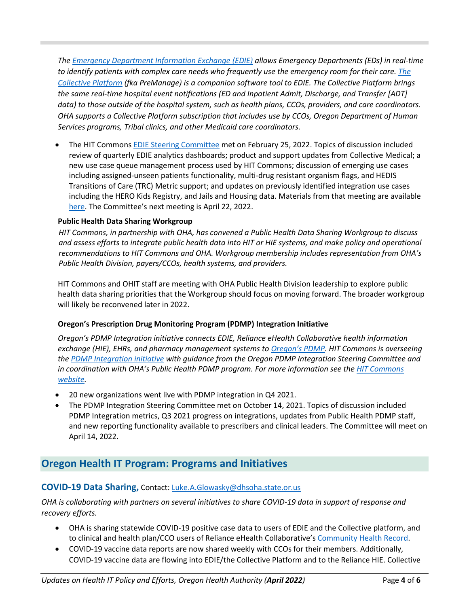*The [Emergency Department Information Exchange](http://www.orhealthleadershipcouncil.org/edie/) (EDIE) allows Emergency Departments (EDs) in real-time to identify patients with complex care needs who frequently use the emergency room for their care. [The](http://www.orhealthleadershipcouncil.org/wp-content/uploads/2021/03/Collective-Platform-Leveraging-Health-Information-Technology-in-Oregon.pdf)  [Collective Platform](http://www.orhealthleadershipcouncil.org/wp-content/uploads/2021/03/Collective-Platform-Leveraging-Health-Information-Technology-in-Oregon.pdf) (fka PreManage) is a companion software tool to EDIE. The Collective Platform brings the same real-time hospital event notifications (ED and Inpatient Admit, Discharge, and Transfer [ADT] data) to those outside of the hospital system, such as health plans, CCOs, providers, and care coordinators. OHA supports a Collective Platform subscription that includes use by CCOs, Oregon Department of Human Services programs, Tribal clinics, and other Medicaid care coordinators.*

• The HIT Commons [EDIE Steering Committee](http://www.orhealthleadershipcouncil.org/edie-steering-committee/) met on February 25, 2022. Topics of discussion included review of quarterly EDIE analytics dashboards; product and support updates from Collective Medical; a new use case queue management process used by HIT Commons; discussion of emerging use cases including assigned-unseen patients functionality, multi-drug resistant organism flags, and HEDIS Transitions of Care (TRC) Metric support; and updates on previously identified integration use cases including the HERO Kids Registry, and Jails and Housing data. Materials from that meeting are available [here.](https://orhealthleadershipcouncil.org/wp-content/uploads/2022/02/EDIE-Steering-Committee-Meeting-Materials-Feb-25-2022.pdf) The Committee's next meeting is April 22, 2022.

### **Public Health Data Sharing Workgroup**

*HIT Commons, in partnership with OHA, has convened a Public Health Data Sharing Workgroup to discuss and assess efforts to integrate public health data into HIT or HIE systems, and make policy and operational recommendations to HIT Commons and OHA. Workgroup membership includes representation from OHA's Public Health Division, payers/CCOs, health systems, and providers.*

HIT Commons and OHIT staff are meeting with OHA Public Health Division leadership to explore public health data sharing priorities that the Workgroup should focus on moving forward. The broader workgroup will likely be reconvened later in 2022.

### **Oregon's Prescription Drug Monitoring Program (PDMP) Integration Initiative**

*Oregon's PDMP Integration initiative connects EDIE, Reliance eHealth Collaborative health information exchange (HIE), EHRs, and pharmacy management systems to [Oregon's PDMP](http://www.orpdmp.com/). HIT Commons is overseeing th[e PDMP Integration initiative](http://www.orhealthleadershipcouncil.org/pdmp-integration/) with guidance from the Oregon PDMP Integration Steering Committee and in coordination with OHA's Public Health PDMP program. For more information see the [HIT Commons](http://www.orhealthleadershipcouncil.org/hit-commons/)  [website.](http://www.orhealthleadershipcouncil.org/hit-commons/)* 

- 20 new organizations went live with PDMP integration in Q4 2021.
- The PDMP Integration Steering Committee met on October 14, 2021. Topics of discussion included PDMP Integration metrics, Q3 2021 progress on integrations, updates from Public Health PDMP staff, and new reporting functionality available to prescribers and clinical leaders. The Committee will meet on April 14, 2022.

# **Oregon Health IT Program: Programs and Initiatives**

### **COVID-19 Data Sharing,** Contact: [Luke.A.Glowasky@dhsoha.state.or.us](mailto:Luke.A.Glowasky@dhsoha.state.or.us)

*OHA is collaborating with partners on several initiatives to share COVID-19 data in support of response and recovery efforts.*

- OHA is sharing statewide COVID-19 positive case data to users of EDIE and the Collective platform, and to clinical and health plan/CCO users of Reliance eHealth Collaborative's [Community Health Record.](http://reliancehie.org/community-health-record/)
- COVID-19 vaccine data reports are now shared weekly with CCOs for their members. Additionally, COVID-19 vaccine data are flowing into EDIE/the Collective Platform and to the Reliance HIE. Collective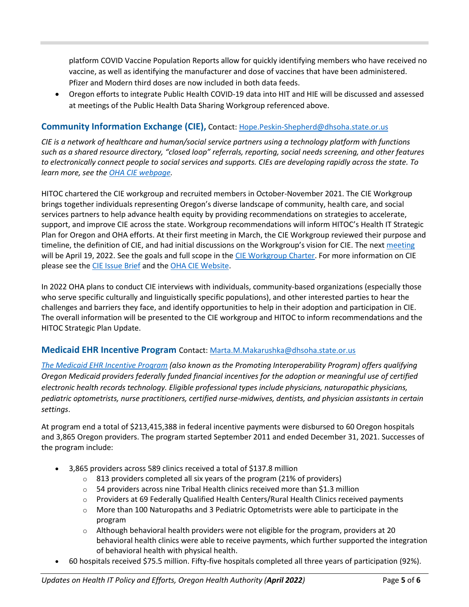platform COVID Vaccine Population Reports allow for quickly identifying members who have received no vaccine, as well as identifying the manufacturer and dose of vaccines that have been administered. Pfizer and Modern third doses are now included in both data feeds.

• Oregon efforts to integrate Public Health COVID-19 data into HIT and HIE will be discussed and assessed at meetings of the Public Health Data Sharing Workgroup referenced above.

# **Community Information Exchange (CIE),** Contact: [Hope.Peskin-Shepherd@dhsoha.state.or.us](mailto:Hope.Peskin-Shepherd@dhsoha.state.or.us)

*CIE is a network of healthcare and human/social service partners using a technology platform with functions such as a shared resource directory, "closed loop" referrals, reporting, social needs screening, and other features to electronically connect people to social services and supports. CIEs are developing rapidly across the state. To learn more, see the [OHA CIE webpage.](https://www.oregon.gov/oha/HPA/OHIT/Pages/CIE-Overview.aspx)*

HITOC chartered the CIE workgroup and recruited members in October-November 2021. The CIE Workgroup brings together individuals representing Oregon's diverse landscape of community, health care, and social services partners to help advance health equity by providing recommendations on strategies to accelerate, support, and improve CIE across the state. Workgroup recommendations will inform HITOC's Health IT Strategic Plan for Oregon and OHA efforts. At their first meeting in March, the CIE Workgroup reviewed their purpose and timeline, the definition of CIE, and had initial discussions on the Workgroup's vision for CIE. The nex[t meeting](https://www.oregon.gov/oha/HPA/OHIT-HITOC/Pages/CIEworkgroup.aspx) will be April 19, 2022. See the goals and full scope in the [CIE Workgroup Charter.](https://www.oregon.gov/oha/HPA/OHIT-HITOC/Documents/HITOC-CIEWorkgroupCharter.pdf) For more information on CIE please see th[e CIE Issue Brief](https://www.oregon.gov/oha/HPA/OHIT-HITOC/Documents/HITOC-CIEIssueBrief.pdf) and th[e OHA CIE Website.](https://www.oregon.gov/oha/HPA/OHIT/Pages/CIE-Overview.aspx)

In 2022 OHA plans to conduct CIE interviews with individuals, community-based organizations (especially those who serve specific culturally and linguistically specific populations), and other interested parties to hear the challenges and barriers they face, and identify opportunities to help in their adoption and participation in CIE. The overall information will be presented to the CIE workgroup and HITOC to inform recommendations and the HITOC Strategic Plan Update.

### **Medicaid EHR Incentive Program** Contact: [Marta.M.Makarushka@dhsoha.state.or.us](mailto:Marta.M.Makarushka@dhsoha.state.or.us)

*[The Medicaid EHR Incentive Program](https://www.oregon.gov/oha/MHIT/pages/index.aspx) (also known as the Promoting Interoperability Program) offers qualifying Oregon Medicaid providers federally funded financial incentives for the adoption or meaningful use of certified electronic health records technology. Eligible professional types include physicians, naturopathic physicians, pediatric optometrists, nurse practitioners, certified nurse-midwives, dentists, and physician assistants in certain settings*.

At program end a total of \$213,415,388 in federal incentive payments were disbursed to 60 Oregon hospitals and 3,865 Oregon providers. The program started September 2011 and ended December 31, 2021. Successes of the program include:

- 3,865 providers across 589 clinics received a total of \$137.8 million
	- $\circ$  813 providers completed all six years of the program (21% of providers)
	- $\circ$  54 providers across nine Tribal Health clinics received more than \$1.3 million
	- $\circ$  Providers at 69 Federally Qualified Health Centers/Rural Health Clinics received payments
	- $\circ$  More than 100 Naturopaths and 3 Pediatric Optometrists were able to participate in the program
	- o Although behavioral health providers were not eligible for the program, providers at 20 behavioral health clinics were able to receive payments, which further supported the integration of behavioral health with physical health.
- 60 hospitals received \$75.5 million. Fifty-five hospitals completed all three years of participation (92%).